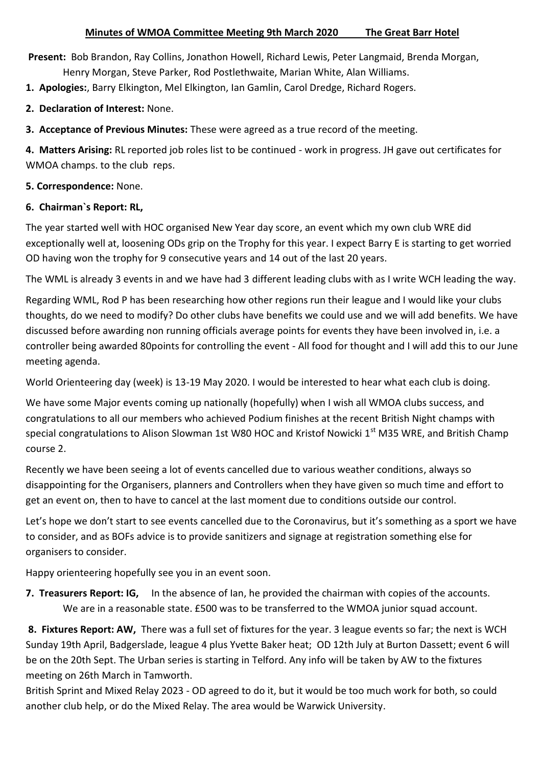**Present:** Bob Brandon, Ray Collins, Jonathon Howell, Richard Lewis, Peter Langmaid, Brenda Morgan, Henry Morgan, Steve Parker, Rod Postlethwaite, Marian White, Alan Williams.

**1. Apologies:**, Barry Elkington, Mel Elkington, Ian Gamlin, Carol Dredge, Richard Rogers.

**2. Declaration of Interest:** None.

**3. Acceptance of Previous Minutes:** These were agreed as a true record of the meeting.

**4. Matters Arising:** RL reported job roles list to be continued - work in progress. JH gave out certificates for WMOA champs. to the club reps.

**5. Correspondence:** None.

## **6. Chairman`s Report: RL,**

The year started well with HOC organised New Year day score, an event which my own club WRE did exceptionally well at, loosening ODs grip on the Trophy for this year. I expect Barry E is starting to get worried OD having won the trophy for 9 consecutive years and 14 out of the last 20 years.

The WML is already 3 events in and we have had 3 different leading clubs with as I write WCH leading the way.

Regarding WML, Rod P has been researching how other regions run their league and I would like your clubs thoughts, do we need to modify? Do other clubs have benefits we could use and we will add benefits. We have discussed before awarding non running officials average points for events they have been involved in, i.e. a controller being awarded 80points for controlling the event - All food for thought and I will add this to our June meeting agenda.

World Orienteering day (week) is 13-19 May 2020. I would be interested to hear what each club is doing.

We have some Major events coming up nationally (hopefully) when I wish all WMOA clubs success, and congratulations to all our members who achieved Podium finishes at the recent British Night champs with special congratulations to Alison Slowman 1st W80 HOC and Kristof Nowicki 1<sup>st</sup> M35 WRE, and British Champ course 2.

Recently we have been seeing a lot of events cancelled due to various weather conditions, always so disappointing for the Organisers, planners and Controllers when they have given so much time and effort to get an event on, then to have to cancel at the last moment due to conditions outside our control.

Let's hope we don't start to see events cancelled due to the Coronavirus, but it's something as a sport we have to consider, and as BOFs advice is to provide sanitizers and signage at registration something else for organisers to consider.

Happy orienteering hopefully see you in an event soon.

**7. Treasurers Report: IG,** In the absence of Ian, he provided the chairman with copies of the accounts. We are in a reasonable state. £500 was to be transferred to the WMOA junior squad account.

**8. Fixtures Report: AW,** There was a full set of fixtures for the year. 3 league events so far; the next is WCH Sunday 19th April, Badgerslade, league 4 plus Yvette Baker heat; OD 12th July at Burton Dassett; event 6 will be on the 20th Sept. The Urban series is starting in Telford. Any info will be taken by AW to the fixtures meeting on 26th March in Tamworth.

British Sprint and Mixed Relay 2023 - OD agreed to do it, but it would be too much work for both, so could another club help, or do the Mixed Relay. The area would be Warwick University.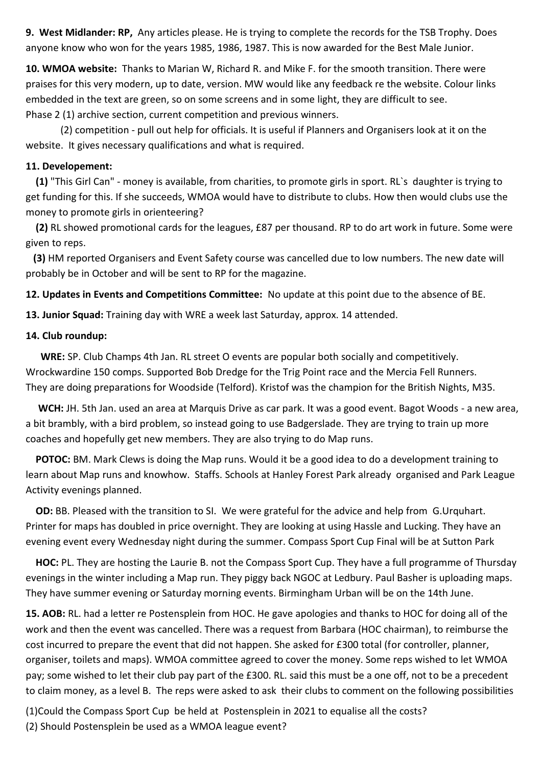**9. West Midlander: RP,** Any articles please. He is trying to complete the records for the TSB Trophy. Does anyone know who won for the years 1985, 1986, 1987. This is now awarded for the Best Male Junior.

**10. WMOA website:** Thanks to Marian W, Richard R. and Mike F. for the smooth transition. There were praises for this very modern, up to date, version. MW would like any feedback re the website. Colour links embedded in the text are green, so on some screens and in some light, they are difficult to see. Phase 2 (1) archive section, current competition and previous winners.

 (2) competition - pull out help for officials. It is useful if Planners and Organisers look at it on the website. It gives necessary qualifications and what is required.

## **11. Developement:**

 **(1)** "This Girl Can" - money is available, from charities, to promote girls in sport. RL`s daughter is trying to get funding for this. If she succeeds, WMOA would have to distribute to clubs. How then would clubs use the money to promote girls in orienteering?

 **(2)** RL showed promotional cards for the leagues, £87 per thousand. RP to do art work in future. Some were given to reps.

 **(3)** HM reported Organisers and Event Safety course was cancelled due to low numbers. The new date will probably be in October and will be sent to RP for the magazine.

**12. Updates in Events and Competitions Committee:** No update at this point due to the absence of BE.

**13. Junior Squad:** Training day with WRE a week last Saturday, approx. 14 attended.

## **14. Club roundup:**

 **WRE:** SP. Club Champs 4th Jan. RL street O events are popular both socially and competitively. Wrockwardine 150 comps. Supported Bob Dredge for the Trig Point race and the Mercia Fell Runners. They are doing preparations for Woodside (Telford). Kristof was the champion for the British Nights, M35.

 **WCH:** JH. 5th Jan. used an area at Marquis Drive as car park. It was a good event. Bagot Woods - a new area, a bit brambly, with a bird problem, so instead going to use Badgerslade. They are trying to train up more coaches and hopefully get new members. They are also trying to do Map runs.

 **POTOC:** BM. Mark Clews is doing the Map runs. Would it be a good idea to do a development training to learn about Map runs and knowhow. Staffs. Schools at Hanley Forest Park already organised and Park League Activity evenings planned.

 **OD:** BB. Pleased with the transition to SI. We were grateful for the advice and help from G.Urquhart. Printer for maps has doubled in price overnight. They are looking at using Hassle and Lucking. They have an evening event every Wednesday night during the summer. Compass Sport Cup Final will be at Sutton Park

 **HOC:** PL. They are hosting the Laurie B. not the Compass Sport Cup. They have a full programme of Thursday evenings in the winter including a Map run. They piggy back NGOC at Ledbury. Paul Basher is uploading maps. They have summer evening or Saturday morning events. Birmingham Urban will be on the 14th June.

**15. AOB:** RL. had a letter re Postensplein from HOC. He gave apologies and thanks to HOC for doing all of the work and then the event was cancelled. There was a request from Barbara (HOC chairman), to reimburse the cost incurred to prepare the event that did not happen. She asked for £300 total (for controller, planner, organiser, toilets and maps). WMOA committee agreed to cover the money. Some reps wished to let WMOA pay; some wished to let their club pay part of the £300. RL. said this must be a one off, not to be a precedent to claim money, as a level B. The reps were asked to ask their clubs to comment on the following possibilities

(1)Could the Compass Sport Cup be held at Postensplein in 2021 to equalise all the costs? (2) Should Postensplein be used as a WMOA league event?